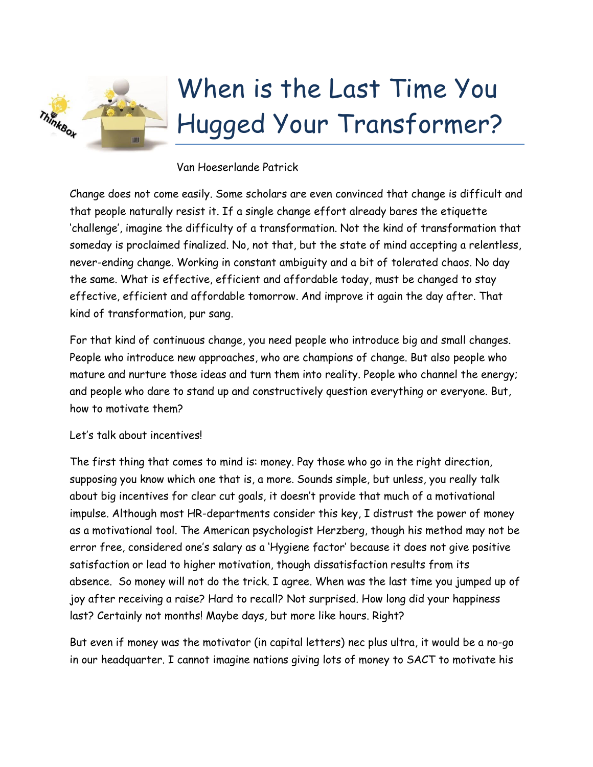

## Van Hoeserlande Patrick

Change does not come easily. Some scholars are even convinced that change is difficult and that people naturally resist it. If a single change effort already bares the etiquette 'challenge', imagine the difficulty of a transformation. Not the kind of transformation that someday is proclaimed finalized. No, not that, but the state of mind accepting a relentless, never-ending change. Working in constant ambiguity and a bit of tolerated chaos. No day the same. What is effective, efficient and affordable today, must be changed to stay effective, efficient and affordable tomorrow. And improve it again the day after. That kind of transformation, pur sang.

For that kind of continuous change, you need people who introduce big and small changes. People who introduce new approaches, who are champions of change. But also people who mature and nurture those ideas and turn them into reality. People who channel the energy; and people who dare to stand up and constructively question everything or everyone. But, how to motivate them?

## Let's talk about incentives!

The first thing that comes to mind is: money. Pay those who go in the right direction, supposing you know which one that is, a more. Sounds simple, but unless, you really talk about big incentives for clear cut goals, it doesn't provide that much of a motivational impulse. Although most HR-departments consider this key, I distrust the power of money as a motivational tool. The American psychologist Herzberg, though his method may not be error free, considered one's salary as a 'Hygiene factor' because it does not give positive satisfaction or lead to higher motivation, though dissatisfaction results from its absence. So money will not do the trick. I agree. When was the last time you jumped up of joy after receiving a raise? Hard to recall? Not surprised. How long did your happiness last? Certainly not months! Maybe days, but more like hours. Right?

But even if money was the motivator (in capital letters) nec plus ultra, it would be a no-go in our headquarter. I cannot imagine nations giving lots of money to SACT to motivate his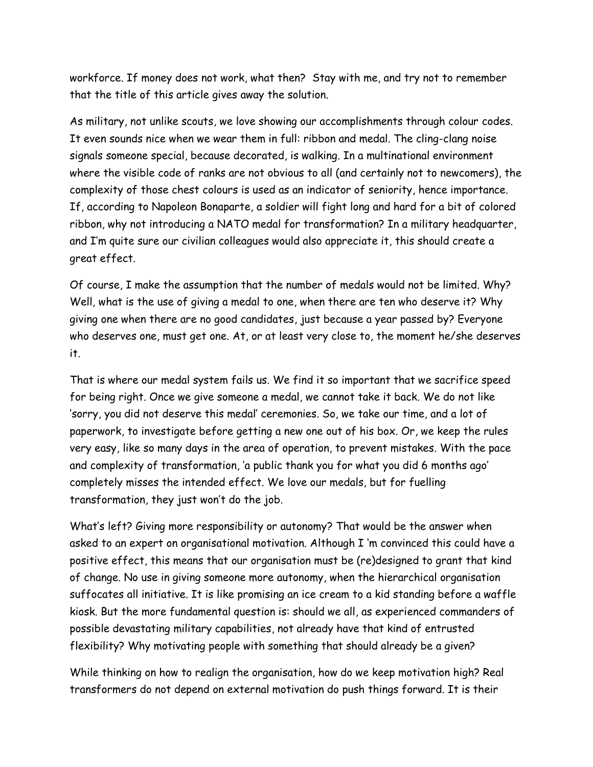workforce. If money does not work, what then? Stay with me, and try not to remember that the title of this article gives away the solution.

As military, not unlike scouts, we love showing our accomplishments through colour codes. It even sounds nice when we wear them in full: ribbon and medal. The cling-clang noise signals someone special, because decorated, is walking. In a multinational environment where the visible code of ranks are not obvious to all (and certainly not to newcomers), the complexity of those chest colours is used as an indicator of seniority, hence importance. If, according to Napoleon Bonaparte, a soldier will fight long and hard for a bit of colored ribbon, why not introducing a NATO medal for transformation? In a military headquarter, and I'm quite sure our civilian colleagues would also appreciate it, this should create a great effect.

Of course, I make the assumption that the number of medals would not be limited. Why? Well, what is the use of giving a medal to one, when there are ten who deserve it? Why giving one when there are no good candidates, just because a year passed by? Everyone who deserves one, must get one. At, or at least very close to, the moment he/she deserves it.

That is where our medal system fails us. We find it so important that we sacrifice speed for being right. Once we give someone a medal, we cannot take it back. We do not like 'sorry, you did not deserve this medal' ceremonies. So, we take our time, and a lot of paperwork, to investigate before getting a new one out of his box. Or, we keep the rules very easy, like so many days in the area of operation, to prevent mistakes. With the pace and complexity of transformation, 'a public thank you for what you did 6 months ago' completely misses the intended effect. We love our medals, but for fuelling transformation, they just won't do the job.

What's left? Giving more responsibility or autonomy? That would be the answer when asked to an expert on organisational motivation. Although I 'm convinced this could have a positive effect, this means that our organisation must be (re)designed to grant that kind of change. No use in giving someone more autonomy, when the hierarchical organisation suffocates all initiative. It is like promising an ice cream to a kid standing before a waffle kiosk. But the more fundamental question is: should we all, as experienced commanders of possible devastating military capabilities, not already have that kind of entrusted flexibility? Why motivating people with something that should already be a given?

While thinking on how to realign the organisation, how do we keep motivation high? Real transformers do not depend on external motivation do push things forward. It is their